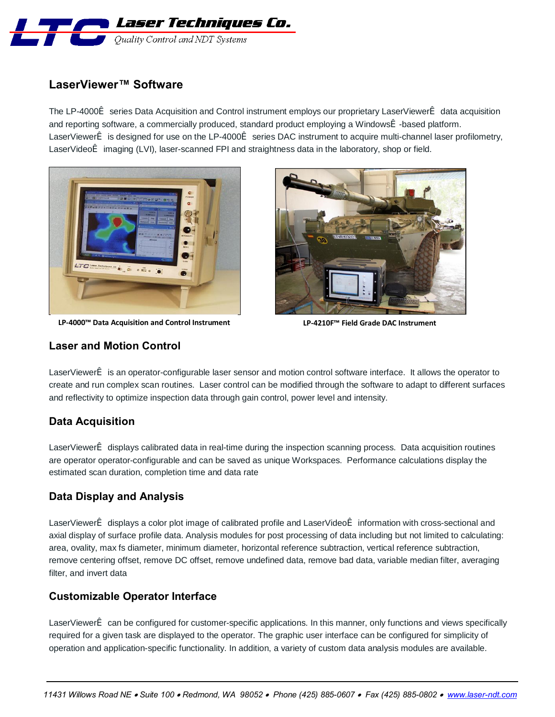

# **LaserViewer™ Software**

The LP-4000ï series Data Acquisition and Control instrument employs our proprietary LaserViewerï data acquisition and reporting software, a commercially produced, standard product employing a Windowsï -based platform. LaserViewerï is designed for use on the LP-4000ï series DAC instrument to acquire multi-channel laser profilometry, LaserVideoï imaging (LVI), laser-scanned FPI and straightness data in the laboratory, shop or field.



**LP-4000™ Data Acquisition and Control Instrument LP-4210F™ Field Grade DAC Instrument**



### **Laser and Motion Control**

LaserViewerï is an operator-configurable laser sensor and motion control software interface. It allows the operator to create and run complex scan routines. Laser control can be modified through the software to adapt to different surfaces and reflectivity to optimize inspection data through gain control, power level and intensity.

### **Data Acquisition**

LaserViewerï displays calibrated data in real-time during the inspection scanning process. Data acquisition routines are operator operator-configurable and can be saved as unique Workspaces. Performance calculations display the estimated scan duration, completion time and data rate

# **Data Display and Analysis**

LaserViewerï displays a color plot image of calibrated profile and LaserVideoï information with cross-sectional and axial display of surface profile data. Analysis modules for post processing of data including but not limited to calculating: area, ovality, max fs diameter, minimum diameter, horizontal reference subtraction, vertical reference subtraction, remove centering offset, remove DC offset, remove undefined data, remove bad data, variable median filter, averaging filter, and invert data

### **Customizable Operator Interface**

LaserViewerï can be configured for customer-specific applications. In this manner, only functions and views specifically required for a given task are displayed to the operator. The graphic user interface can be configured for simplicity of operation and application-specific functionality. In addition, a variety of custom data analysis modules are available.